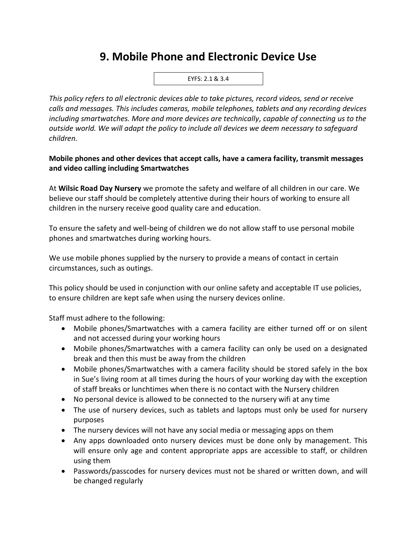## **9. Mobile Phone and Electronic Device Use**



*This policy refers to all electronic devices able to take pictures, record videos, send or receive calls and messages. This includes cameras, mobile telephones, tablets and any recording devices including smartwatches. More and more devices are technically, capable of connecting us to the outside world. We will adapt the policy to include all devices we deem necessary to safeguard children.* 

## **Mobile phones and other devices that accept calls, have a camera facility, transmit messages and video calling including Smartwatches**

At **Wilsic Road Day Nursery** we promote the safety and welfare of all children in our care. We believe our staff should be completely attentive during their hours of working to ensure all children in the nursery receive good quality care and education.

To ensure the safety and well-being of children we do not allow staff to use personal mobile phones and smartwatches during working hours.

We use mobile phones supplied by the nursery to provide a means of contact in certain circumstances, such as outings.

This policy should be used in conjunction with our online safety and acceptable IT use policies, to ensure children are kept safe when using the nursery devices online.

Staff must adhere to the following:

- Mobile phones/Smartwatches with a camera facility are either turned off or on silent and not accessed during your working hours
- Mobile phones/Smartwatches with a camera facility can only be used on a designated break and then this must be away from the children
- Mobile phones/Smartwatches with a camera facility should be stored safely in the box in Sue's living room at all times during the hours of your working day with the exception of staff breaks or lunchtimes when there is no contact with the Nursery children
- No personal device is allowed to be connected to the nursery wifi at any time
- The use of nursery devices, such as tablets and laptops must only be used for nursery purposes
- The nursery devices will not have any social media or messaging apps on them
- Any apps downloaded onto nursery devices must be done only by management. This will ensure only age and content appropriate apps are accessible to staff, or children using them
- Passwords/passcodes for nursery devices must not be shared or written down, and will be changed regularly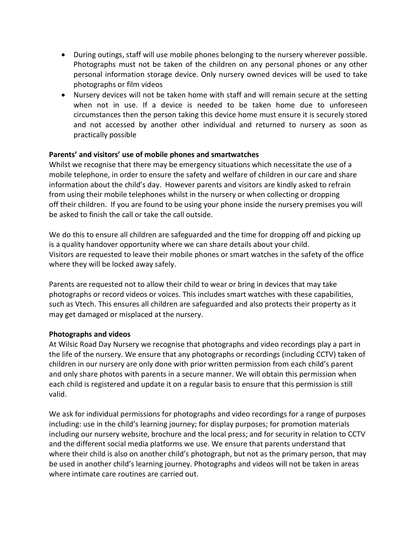- During outings, staff will use mobile phones belonging to the nursery wherever possible. Photographs must not be taken of the children on any personal phones or any other personal information storage device. Only nursery owned devices will be used to take photographs or film videos
- Nursery devices will not be taken home with staff and will remain secure at the setting when not in use. If a device is needed to be taken home due to unforeseen circumstances then the person taking this device home must ensure it is securely stored and not accessed by another other individual and returned to nursery as soon as practically possible

## **Parents' and visitors' use of mobile phones and smartwatches**

Whilst we recognise that there may be emergency situations which necessitate the use of a mobile telephone, in order to ensure the safety and welfare of children in our care and share information about the child's day. However parents and visitors are kindly asked to refrain from using their mobile telephones whilst in the nursery or when collecting or dropping off their children. If you are found to be using your phone inside the nursery premises you will be asked to finish the call or take the call outside.

We do this to ensure all children are safeguarded and the time for dropping off and picking up is a quality handover opportunity where we can share details about your child. Visitors are requested to leave their mobile phones or smart watches in the safety of the office where they will be locked away safely.

Parents are requested not to allow their child to wear or bring in devices that may take photographs or record videos or voices. This includes smart watches with these capabilities, such as Vtech. This ensures all children are safeguarded and also protects their property as it may get damaged or misplaced at the nursery.

## **Photographs and videos**

At Wilsic Road Day Nursery we recognise that photographs and video recordings play a part in the life of the nursery. We ensure that any photographs or recordings (including CCTV) taken of children in our nursery are only done with prior written permission from each child's parent and only share photos with parents in a secure manner. We will obtain this permission when each child is registered and update it on a regular basis to ensure that this permission is still valid.

We ask for individual permissions for photographs and video recordings for a range of purposes including: use in the child's learning journey; for display purposes; for promotion materials including our nursery website, brochure and the local press; and for security in relation to CCTV and the different social media platforms we use. We ensure that parents understand that where their child is also on another child's photograph, but not as the primary person, that may be used in another child's learning journey. Photographs and videos will not be taken in areas where intimate care routines are carried out.